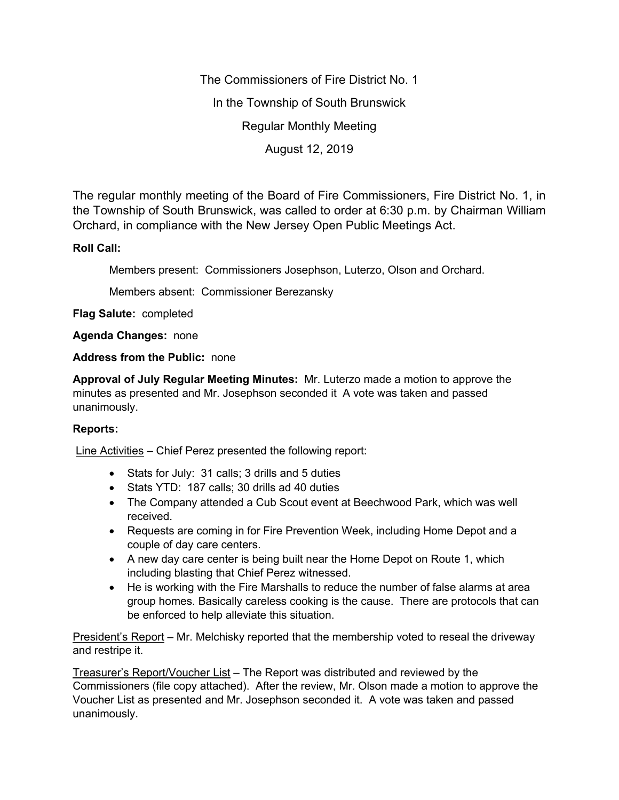The Commissioners of Fire District No. 1

In the Township of South Brunswick

Regular Monthly Meeting

August 12, 2019

The regular monthly meeting of the Board of Fire Commissioners, Fire District No. 1, in the Township of South Brunswick, was called to order at 6:30 p.m. by Chairman William Orchard, in compliance with the New Jersey Open Public Meetings Act.

## **Roll Call:**

Members present: Commissioners Josephson, Luterzo, Olson and Orchard.

Members absent: Commissioner Berezansky

**Flag Salute:** completed

**Agenda Changes:** none

## **Address from the Public:** none

**Approval of July Regular Meeting Minutes:** Mr. Luterzo made a motion to approve the minutes as presented and Mr. Josephson seconded it A vote was taken and passed unanimously.

## **Reports:**

Line Activities – Chief Perez presented the following report:

- Stats for July: 31 calls; 3 drills and 5 duties
- Stats YTD: 187 calls; 30 drills ad 40 duties
- The Company attended a Cub Scout event at Beechwood Park, which was well received.
- Requests are coming in for Fire Prevention Week, including Home Depot and a couple of day care centers.
- A new day care center is being built near the Home Depot on Route 1, which including blasting that Chief Perez witnessed.
- He is working with the Fire Marshalls to reduce the number of false alarms at area group homes. Basically careless cooking is the cause. There are protocols that can be enforced to help alleviate this situation.

President's Report – Mr. Melchisky reported that the membership voted to reseal the driveway and restripe it.

Treasurer's Report/Voucher List – The Report was distributed and reviewed by the Commissioners (file copy attached). After the review, Mr. Olson made a motion to approve the Voucher List as presented and Mr. Josephson seconded it. A vote was taken and passed unanimously.